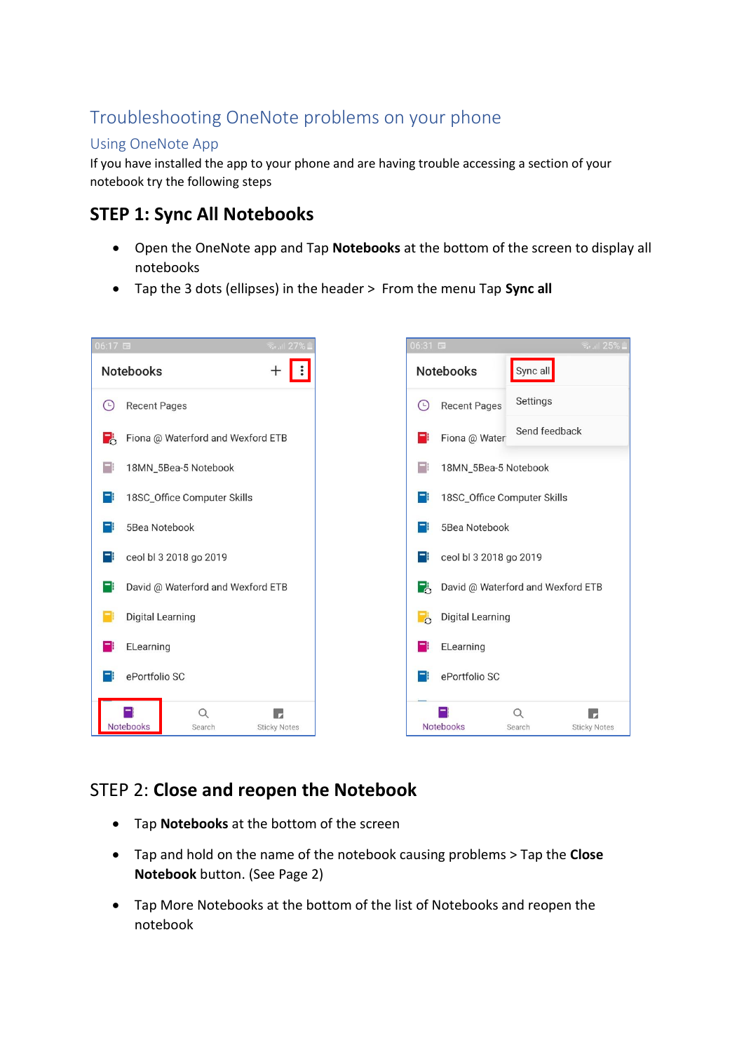# Troubleshooting OneNote problems on your phone

#### Using OneNote App

If you have installed the app to your phone and are having trouble accessing a section of your notebook try the following steps

## **STEP 1: Sync All Notebooks**

- Open the OneNote app and Tap **Notebooks** at the bottom of the screen to display all notebooks
- Tap the 3 dots (ellipses) in the header > From the menu Tap **Sync all**



### STEP 2: **Close and reopen the Notebook**

- Tap **Notebooks** at the bottom of the screen
- Tap and hold on the name of the notebook causing problems > Tap the **Close Notebook** button. (See Page 2)
- Tap More Notebooks at the bottom of the list of Notebooks and reopen the notebook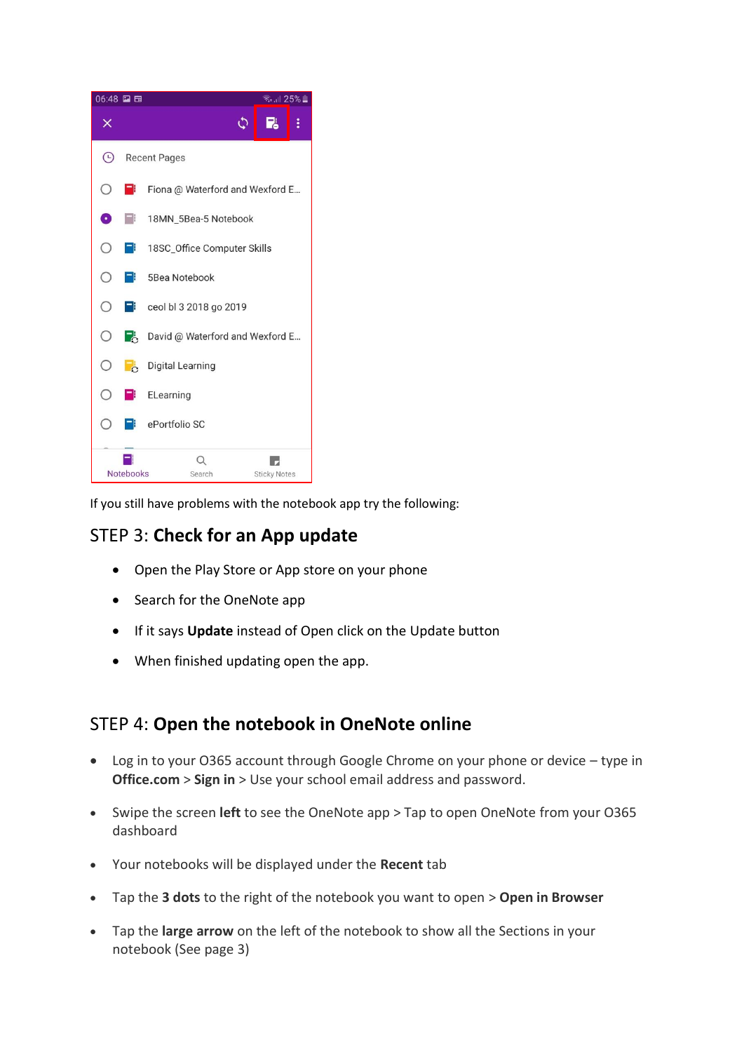

If you still have problems with the notebook app try the following:

### STEP 3: **Check for an App update**

- Open the Play Store or App store on your phone
- Search for the OneNote app
- If it says **Update** instead of Open click on the Update button
- When finished updating open the app.

#### STEP 4: **Open the notebook in OneNote online**

- Log in to your O365 account through Google Chrome on your phone or device type in **Office.com** > **Sign in** > Use your school email address and password.
- Swipe the screen **left** to see the OneNote app > Tap to open OneNote from your O365 dashboard
- Your notebooks will be displayed under the **Recent** tab
- Tap the **3 dots** to the right of the notebook you want to open > **Open in Browser**
- Tap the **large arrow** on the left of the notebook to show all the Sections in your notebook (See page 3)